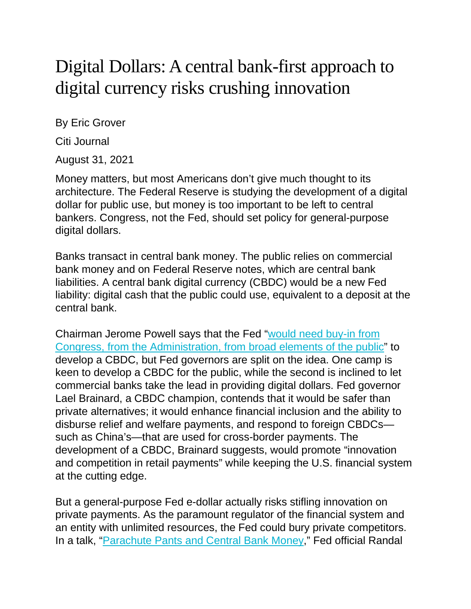## Digital Dollars: A central bank-first approach to digital currency risks crushing innovation

By Eric Grover

Citi Journal

August 31, 2021

Money matters, but most Americans don't give much thought to its architecture. The Federal Reserve is studying the development of a digital dollar for public use, but money is too important to be left to central bankers. Congress, not the Fed, should set policy for general-purpose digital dollars.

Banks transact in central bank money. The public relies on commercial bank money and on Federal Reserve notes, which are central bank liabilities. A central bank digital currency (CBDC) would be a new Fed liability: digital cash that the public could use, equivalent to a deposit at the central bank.

Chairman Jerome Powell says that the Fed ["would](https://www.wsj.com/articles/powell-says-congressional-support-likely-needed-to-adopt-fully-digital-dollar-11616424452) need buy-in from Congress, from the [Administration,](https://www.wsj.com/articles/powell-says-congressional-support-likely-needed-to-adopt-fully-digital-dollar-11616424452) from broad elements of the public" to develop a CBDC, but Fed governors are split on the idea. One camp is keen to develop a CBDC for the public, while the second is inclined to let commercial banks take the lead in providing digital dollars. Fed governor Lael Brainard, a CBDC champion, contends that it would be safer than private alternatives; it would enhance financial inclusion and the ability to disburse relief and welfare payments, and respond to foreign CBDCs such as China's—that are used for cross-border payments. The development of a CBDC, Brainard suggests, would promote "innovation and competition in retail payments" while keeping the U.S. financial system at the cutting edge.

But a general-purpose Fed e-dollar actually risks stifling innovation on private payments. As the paramount regulator of the financial system and an entity with unlimited resources, the Fed could bury private competitors. In a talk, ["Parachute](https://www.federalreserve.gov/newsevents/speech/quarles20210628a.htm) Pants and Central Bank Money," Fed official Randal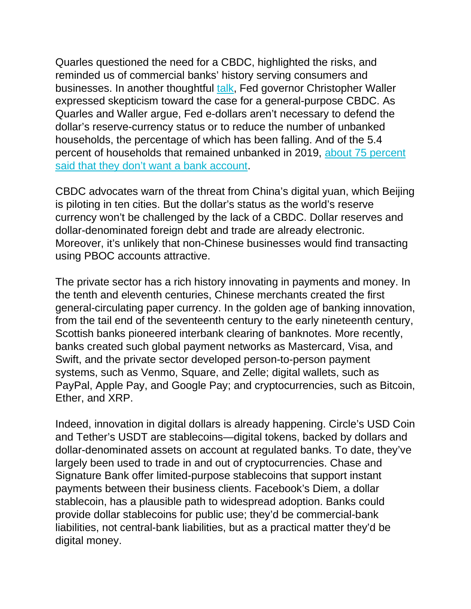Quarles questioned the need for a CBDC, highlighted the risks, and reminded us of commercial banks' history serving consumers and businesses. In another thoughtful [talk,](https://www.federalreserve.gov/newsevents/speech/waller20210805a.htm) Fed governor Christopher Waller expressed skepticism toward the case for a general-purpose CBDC. As Quarles and Waller argue, Fed e-dollars aren't necessary to defend the dollar's reserve-currency status or to reduce the number of unbanked households, the percentage of which has been falling. And of the 5.4 percent of households that remained unbanked in 2019, about 75 [percent](https://www.fdic.gov/analysis/household-survey/2019report.pdf) said that they don't want a bank [account.](https://www.fdic.gov/analysis/household-survey/2019report.pdf)

CBDC advocates warn of the threat from China's digital yuan, which Beijing is piloting in ten cities. But the dollar's status as the world's reserve currency won't be challenged by the lack of a CBDC. Dollar reserves and dollar-denominated foreign debt and trade are already electronic. Moreover, it's unlikely that non-Chinese businesses would find transacting using PBOC accounts attractive.

The private sector has a rich history innovating in payments and money. In the tenth and eleventh centuries, Chinese merchants created the first general-circulating paper currency. In the golden age of banking innovation, from the tail end of the seventeenth century to the early nineteenth century, Scottish banks pioneered interbank clearing of banknotes. More recently, banks created such global payment networks as Mastercard, Visa, and Swift, and the private sector developed person-to-person payment systems, such as Venmo, Square, and Zelle; digital wallets, such as PayPal, Apple Pay, and Google Pay; and cryptocurrencies, such as Bitcoin, Ether, and XRP.

Indeed, innovation in digital dollars is already happening. Circle's USD Coin and Tether's USDT are stablecoins—digital tokens, backed by dollars and dollar-denominated assets on account at regulated banks. To date, they've largely been used to trade in and out of cryptocurrencies. Chase and Signature Bank offer limited-purpose stablecoins that support instant payments between their business clients. Facebook's Diem, a dollar stablecoin, has a plausible path to widespread adoption. Banks could provide dollar stablecoins for public use; they'd be commercial-bank liabilities, not central-bank liabilities, but as a practical matter they'd be digital money.